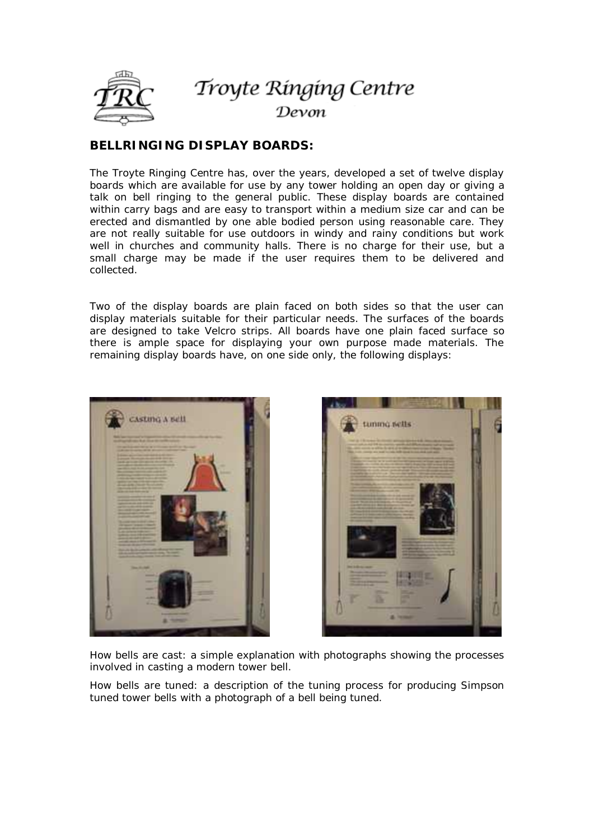

## Troyte Ringing Centre Devon

## **BELLRINGING DISPLAY BOARDS:**

The Troyte Ringing Centre has, over the years, developed a set of twelve display boards which are available for use by any tower holding an open day or giving a talk on bell ringing to the general public. These display boards are contained within carry bags and are easy to transport within a medium size car and can be erected and dismantled by one able bodied person using reasonable care. They are not really suitable for use outdoors in windy and rainy conditions but work well in churches and community halls. There is no charge for their use, but a small charge may be made if the user requires them to be delivered and collected.

Two of the display boards are plain faced on both sides so that the user can display materials suitable for their particular needs. The surfaces of the boards are designed to take Velcro strips. All boards have one plain faced surface so there is ample space for displaying your own purpose made materials. The remaining display boards have, on one side only, the following displays:





*How bells are cast:* a simple explanation with photographs showing the processes involved in casting a modern tower bell.

*How bells are tuned:* a description of the tuning process for producing Simpson tuned tower bells with a photograph of a bell being tuned.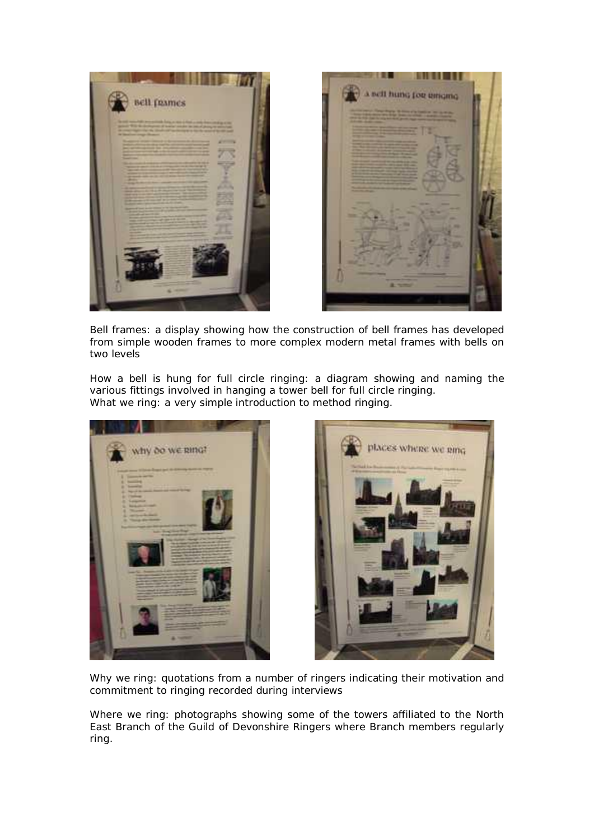



*Bell frames:* a display showing how the construction of bell frames has developed from simple wooden frames to more complex modern metal frames with bells on two levels

*How a bell is hung for full circle ringing:* a diagram showing and naming the various fittings involved in hanging a tower bell for full circle ringing. What we ring: a very simple introduction to method ringing.





*Why we ring:* quotations from a number of ringers indicating their motivation and commitment to ringing recorded during interviews

*Where we ring:* photographs showing some of the towers affiliated to the North East Branch of the Guild of Devonshire Ringers where Branch members regularly ring.